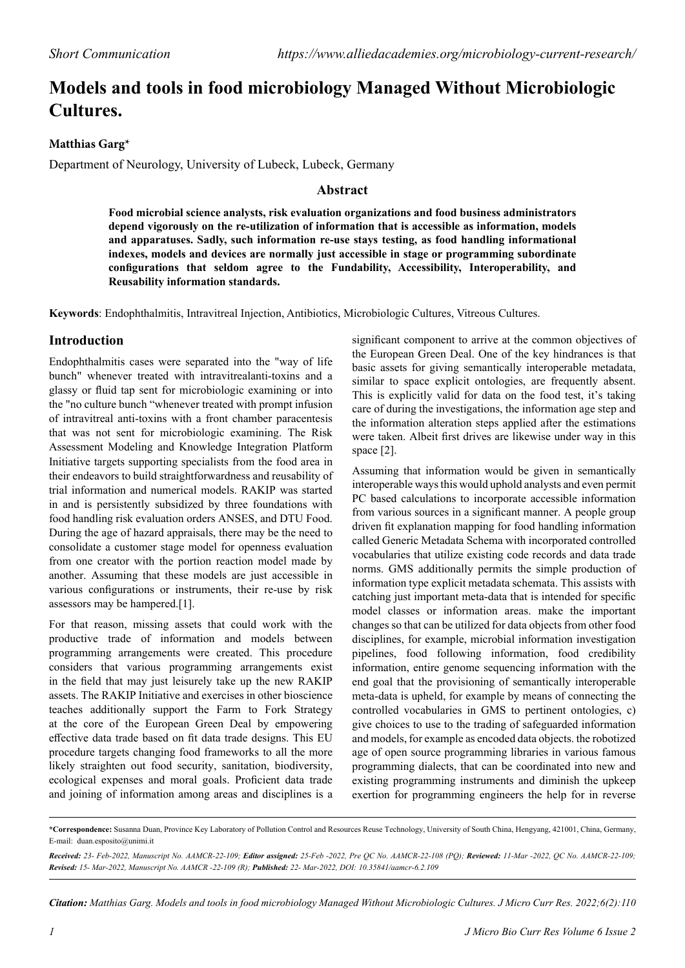# **Models and tools in food microbiology Managed Without Microbiologic Cultures.**

### **Matthias Garg\***

Department of Neurology, University of Lubeck, Lubeck, Germany

### **Abstract**

**Food microbial science analysts, risk evaluation organizations and food business administrators depend vigorously on the re-utilization of information that is accessible as information, models and apparatuses. Sadly, such information re-use stays testing, as food handling informational indexes, models and devices are normally just accessible in stage or programming subordinate configurations that seldom agree to the Fundability, Accessibility, Interoperability, and Reusability information standards.**

**Keywords**: Endophthalmitis, Intravitreal Injection, Antibiotics, Microbiologic Cultures, Vitreous Cultures.

## **Introduction**

Endophthalmitis cases were separated into the "way of life bunch" whenever treated with intravitrealanti-toxins and a glassy or fluid tap sent for microbiologic examining or into the "no culture bunch "whenever treated with prompt infusion of intravitreal anti-toxins with a front chamber paracentesis that was not sent for microbiologic examining. The Risk Assessment Modeling and Knowledge Integration Platform Initiative targets supporting specialists from the food area in their endeavors to build straightforwardness and reusability of trial information and numerical models. RAKIP was started in and is persistently subsidized by three foundations with food handling risk evaluation orders ANSES, and DTU Food. During the age of hazard appraisals, there may be the need to consolidate a customer stage model for openness evaluation from one creator with the portion reaction model made by another. Assuming that these models are just accessible in various configurations or instruments, their re-use by risk assessors may be hampered.[1].

For that reason, missing assets that could work with the productive trade of information and models between programming arrangements were created. This procedure considers that various programming arrangements exist in the field that may just leisurely take up the new RAKIP assets. The RAKIP Initiative and exercises in other bioscience teaches additionally support the Farm to Fork Strategy at the core of the European Green Deal by empowering effective data trade based on fit data trade designs. This EU procedure targets changing food frameworks to all the more likely straighten out food security, sanitation, biodiversity, ecological expenses and moral goals. Proficient data trade and joining of information among areas and disciplines is a

significant component to arrive at the common objectives of the European Green Deal. One of the key hindrances is that basic assets for giving semantically interoperable metadata, similar to space explicit ontologies, are frequently absent. This is explicitly valid for data on the food test, it's taking care of during the investigations, the information age step and the information alteration steps applied after the estimations were taken. Albeit first drives are likewise under way in this space [2].

Assuming that information would be given in semantically interoperable ways this would uphold analysts and even permit PC based calculations to incorporate accessible information from various sources in a significant manner. A people group driven fit explanation mapping for food handling information called Generic Metadata Schema with incorporated controlled vocabularies that utilize existing code records and data trade norms. GMS additionally permits the simple production of information type explicit metadata schemata. This assists with catching just important meta-data that is intended for specific model classes or information areas. make the important changes so that can be utilized for data objects from other food disciplines, for example, microbial information investigation pipelines, food following information, food credibility information, entire genome sequencing information with the end goal that the provisioning of semantically interoperable meta-data is upheld, for example by means of connecting the controlled vocabularies in GMS to pertinent ontologies, c) give choices to use to the trading of safeguarded information and models, for example as encoded data objects. the robotized age of open source programming libraries in various famous programming dialects, that can be coordinated into new and existing programming instruments and diminish the upkeep exertion for programming engineers the help for in reverse

*Citation: Matthias Garg. Models and tools in food microbiology Managed Without Microbiologic Cultures. J Micro Curr Res. 2022;6(2):110*

**<sup>\*</sup>Correspondence:** Susanna Duan, Province Key Laboratory of Pollution Control and Resources Reuse Technology, University of South China, Hengyang, 421001, China, Germany, E-mail: [duan.esposito@unimi.it](mailto:tobias.123@lubeck.de) 

*Received: 23- Feb-2022, Manuscript No. AAMCR-22-109; Editor assigned: 25-Feb -2022, Pre QC No. AAMCR-22-108 (PQ); Reviewed: 11-Mar -2022, QC No. AAMCR-22-109; Revised: 15- Mar-2022, Manuscript No. AAMCR -22-109 (R); Published: 22- Mar-2022, DOI: 10.35841/aamcr-6.2.109*